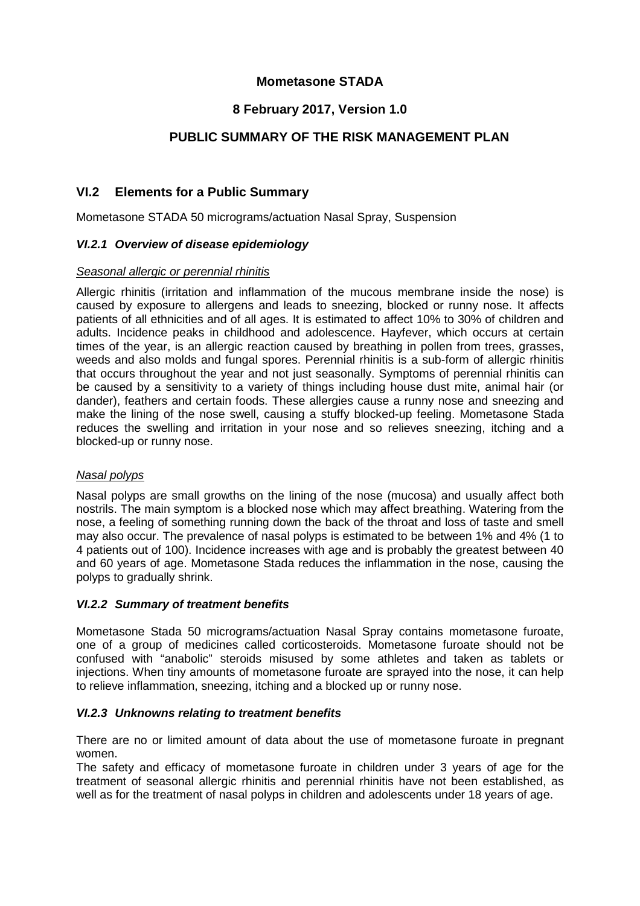## **Mometasone STADA**

## **8 February 2017, Version 1.0**

## **PUBLIC SUMMARY OF THE RISK MANAGEMENT PLAN**

## **VI.2 Elements for a Public Summary**

Mometasone STADA 50 micrograms/actuation Nasal Spray, Suspension

### *VI.2.1 Overview of disease epidemiology*

#### *Seasonal allergic or perennial rhinitis*

Allergic rhinitis (irritation and inflammation of the mucous membrane inside the nose) is caused by exposure to allergens and leads to sneezing, blocked or runny nose. It affects patients of all ethnicities and of all ages. It is estimated to affect 10% to 30% of children and adults. Incidence peaks in childhood and adolescence. Hayfever, which occurs at certain times of the year, is an allergic reaction caused by breathing in pollen from trees, grasses, weeds and also molds and fungal spores. Perennial rhinitis is a sub-form of allergic rhinitis that occurs throughout the year and not just seasonally. Symptoms of perennial rhinitis can be caused by a sensitivity to a variety of things including house dust mite, animal hair (or dander), feathers and certain foods. These allergies cause a runny nose and sneezing and make the lining of the nose swell, causing a stuffy blocked-up feeling. Mometasone Stada reduces the swelling and irritation in your nose and so relieves sneezing, itching and a blocked-up or runny nose.

### *Nasal polyps*

Nasal polyps are small growths on the lining of the nose (mucosa) and usually affect both nostrils. The main symptom is a blocked nose which may affect breathing. Watering from the nose, a feeling of something running down the back of the throat and loss of taste and smell may also occur. The prevalence of nasal polyps is estimated to be between 1% and 4% (1 to 4 patients out of 100). Incidence increases with age and is probably the greatest between 40 and 60 years of age. Mometasone Stada reduces the inflammation in the nose, causing the polyps to gradually shrink.

### *VI.2.2 Summary of treatment benefits*

Mometasone Stada 50 micrograms/actuation Nasal Spray contains mometasone furoate, one of a group of medicines called corticosteroids. Mometasone furoate should not be confused with "anabolic" steroids misused by some athletes and taken as tablets or injections. When tiny amounts of mometasone furoate are sprayed into the nose, it can help to relieve inflammation, sneezing, itching and a blocked up or runny nose.

### *VI.2.3 Unknowns relating to treatment benefits*

There are no or limited amount of data about the use of mometasone furoate in pregnant women.

The safety and efficacy of mometasone furoate in children under 3 years of age for the treatment of seasonal allergic rhinitis and perennial rhinitis have not been established, as well as for the treatment of nasal polyps in children and adolescents under 18 years of age.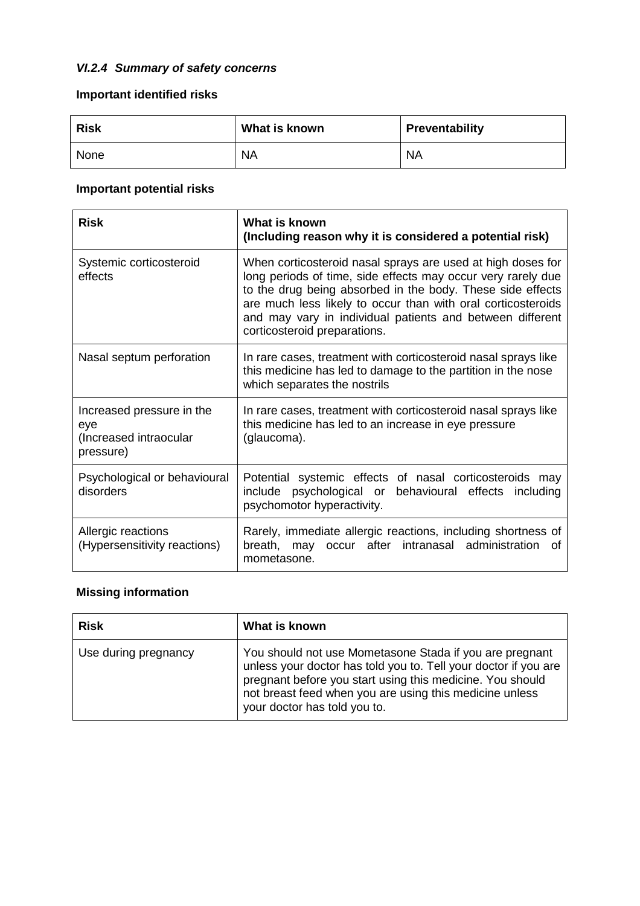# *VI.2.4 Summary of safety concerns*

# **Important identified risks**

| <b>Risk</b> | What is known | Preventability |
|-------------|---------------|----------------|
| None        | <b>NA</b>     | <b>NA</b>      |

# **Important potential risks**

| <b>Risk</b>                                                             | What is known<br>(Including reason why it is considered a potential risk)                                                                                                                                                                                                                                                                              |
|-------------------------------------------------------------------------|--------------------------------------------------------------------------------------------------------------------------------------------------------------------------------------------------------------------------------------------------------------------------------------------------------------------------------------------------------|
| Systemic corticosteroid<br>effects                                      | When corticosteroid nasal sprays are used at high doses for<br>long periods of time, side effects may occur very rarely due<br>to the drug being absorbed in the body. These side effects<br>are much less likely to occur than with oral corticosteroids<br>and may vary in individual patients and between different<br>corticosteroid preparations. |
| Nasal septum perforation                                                | In rare cases, treatment with corticosteroid nasal sprays like<br>this medicine has led to damage to the partition in the nose<br>which separates the nostrils                                                                                                                                                                                         |
| Increased pressure in the<br>eye<br>(Increased intraocular<br>pressure) | In rare cases, treatment with corticosteroid nasal sprays like<br>this medicine has led to an increase in eye pressure<br>(glaucoma).                                                                                                                                                                                                                  |
| Psychological or behavioural<br>disorders                               | Potential systemic effects of nasal corticosteroids may<br>include psychological or behavioural effects including<br>psychomotor hyperactivity.                                                                                                                                                                                                        |
| Allergic reactions<br>(Hypersensitivity reactions)                      | Rarely, immediate allergic reactions, including shortness of<br>after<br>intranasal administration<br>breath, may occur<br>0f<br>mometasone.                                                                                                                                                                                                           |

# **Missing information**

| <b>Risk</b>          | What is known                                                                                                                                                                                                                                                                      |
|----------------------|------------------------------------------------------------------------------------------------------------------------------------------------------------------------------------------------------------------------------------------------------------------------------------|
| Use during pregnancy | You should not use Mometasone Stada if you are pregnant<br>unless your doctor has told you to. Tell your doctor if you are<br>pregnant before you start using this medicine. You should<br>not breast feed when you are using this medicine unless<br>your doctor has told you to. |